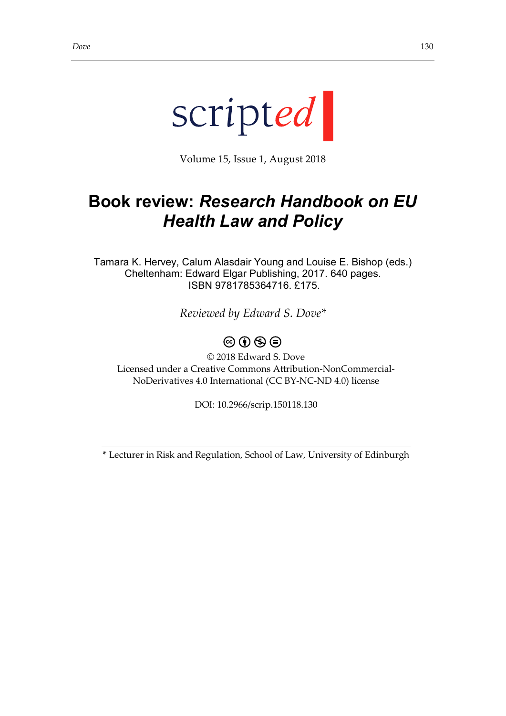

Volume 15, Issue 1, August 2018

## **Book review:** *Research Handbook on EU Health Law and Policy*

Tamara K. Hervey, Calum Alasdair Young and Louise E. Bishop (eds.) Cheltenham: Edward Elgar Publishing, 2017. 640 pages. ISBN 9781785364716. £175.

*Reviewed by Edward S. Dove\**

## $\circledcirc \circ \circledcirc$

© 2018 Edward S. Dove Licensed under a Creative Commons Attribution-NonCommercial-NoDerivatives 4.0 International (CC BY-NC-ND 4.0) license

DOI: 10.2966/scrip.150118.130

\* Lecturer in Risk and Regulation, School of Law, University of Edinburgh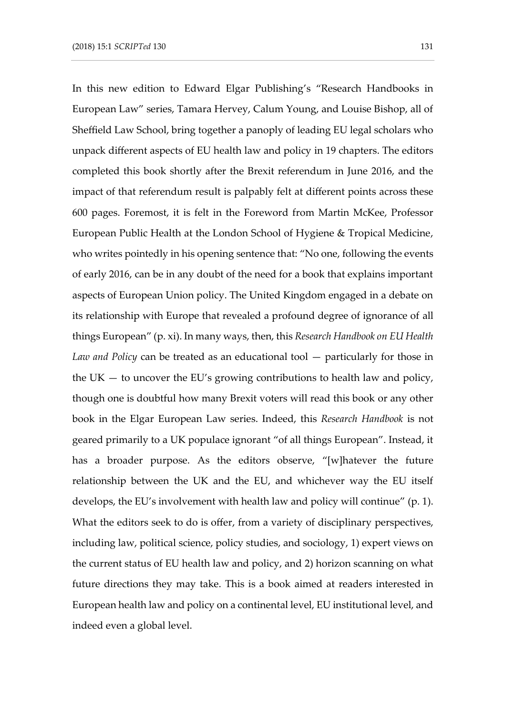In this new edition to Edward Elgar Publishing's "Research Handbooks in European Law" series, Tamara Hervey, Calum Young, and Louise Bishop, all of Sheffield Law School, bring together a panoply of leading EU legal scholars who unpack different aspects of EU health law and policy in 19 chapters. The editors completed this book shortly after the Brexit referendum in June 2016, and the impact of that referendum result is palpably felt at different points across these 600 pages. Foremost, it is felt in the Foreword from Martin McKee, Professor European Public Health at the London School of Hygiene & Tropical Medicine, who writes pointedly in his opening sentence that: "No one, following the events of early 2016, can be in any doubt of the need for a book that explains important aspects of European Union policy. The United Kingdom engaged in a debate on its relationship with Europe that revealed a profound degree of ignorance of all things European" (p. xi). In many ways, then, this *Research Handbook on EU Health Law and Policy* can be treated as an educational tool — particularly for those in the UK — to uncover the EU's growing contributions to health law and policy, though one is doubtful how many Brexit voters will read this book or any other book in the Elgar European Law series. Indeed, this *Research Handbook* is not geared primarily to a UK populace ignorant "of all things European". Instead, it has a broader purpose. As the editors observe, "[w]hatever the future relationship between the UK and the EU, and whichever way the EU itself develops, the EU's involvement with health law and policy will continue" (p. 1). What the editors seek to do is offer, from a variety of disciplinary perspectives, including law, political science, policy studies, and sociology, 1) expert views on the current status of EU health law and policy, and 2) horizon scanning on what future directions they may take. This is a book aimed at readers interested in European health law and policy on a continental level, EU institutional level, and indeed even a global level.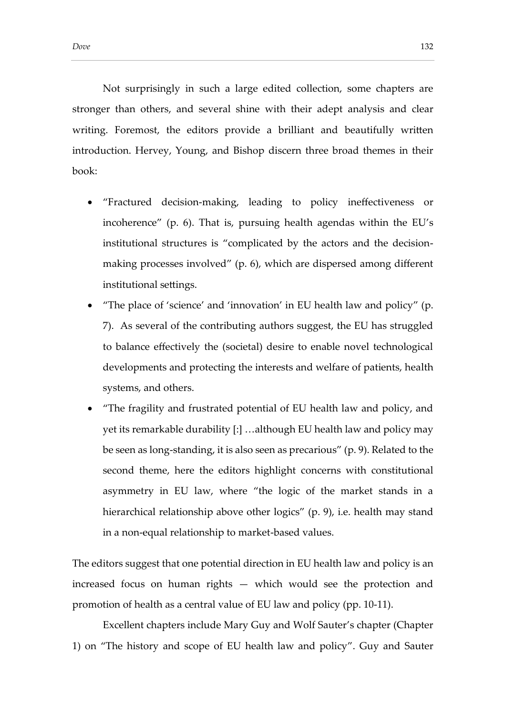Not surprisingly in such a large edited collection, some chapters are stronger than others, and several shine with their adept analysis and clear writing. Foremost, the editors provide a brilliant and beautifully written introduction. Hervey, Young, and Bishop discern three broad themes in their book:

- "Fractured decision-making, leading to policy ineffectiveness or incoherence" (p. 6). That is, pursuing health agendas within the EU's institutional structures is "complicated by the actors and the decisionmaking processes involved" (p. 6), which are dispersed among different institutional settings.
- "The place of 'science' and 'innovation' in EU health law and policy" (p. 7). As several of the contributing authors suggest, the EU has struggled to balance effectively the (societal) desire to enable novel technological developments and protecting the interests and welfare of patients, health systems, and others.
- "The fragility and frustrated potential of EU health law and policy, and yet its remarkable durability [:] …although EU health law and policy may be seen as long-standing, it is also seen as precarious" (p. 9). Related to the second theme, here the editors highlight concerns with constitutional asymmetry in EU law, where "the logic of the market stands in a hierarchical relationship above other logics" (p. 9), i.e. health may stand in a non-equal relationship to market-based values.

The editors suggest that one potential direction in EU health law and policy is an increased focus on human rights — which would see the protection and promotion of health as a central value of EU law and policy (pp. 10-11).

Excellent chapters include Mary Guy and Wolf Sauter's chapter (Chapter 1) on "The history and scope of EU health law and policy". Guy and Sauter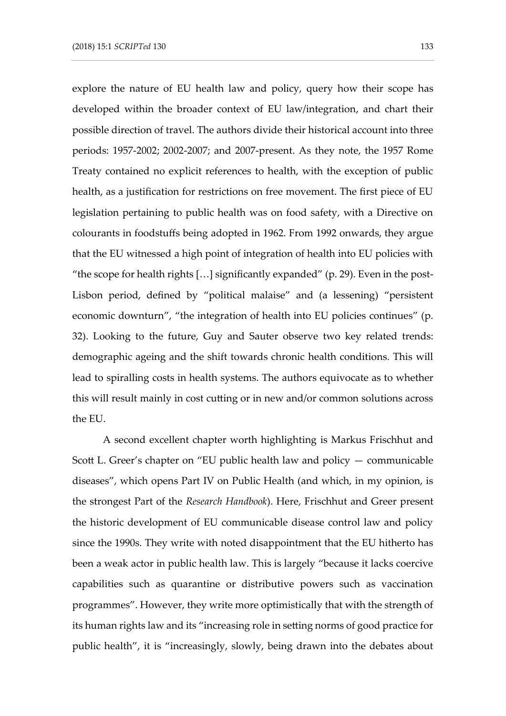explore the nature of EU health law and policy, query how their scope has developed within the broader context of EU law/integration, and chart their possible direction of travel. The authors divide their historical account into three periods: 1957-2002; 2002-2007; and 2007-present. As they note, the 1957 Rome Treaty contained no explicit references to health, with the exception of public health, as a justification for restrictions on free movement. The first piece of EU legislation pertaining to public health was on food safety, with a Directive on colourants in foodstuffs being adopted in 1962. From 1992 onwards, they argue that the EU witnessed a high point of integration of health into EU policies with "the scope for health rights  $[...]$  significantly expanded" (p. 29). Even in the post-Lisbon period, defined by "political malaise" and (a lessening) "persistent economic downturn", "the integration of health into EU policies continues" (p. 32). Looking to the future, Guy and Sauter observe two key related trends: demographic ageing and the shift towards chronic health conditions. This will lead to spiralling costs in health systems. The authors equivocate as to whether this will result mainly in cost cutting or in new and/or common solutions across the EU.

A second excellent chapter worth highlighting is Markus Frischhut and Scott L. Greer's chapter on "EU public health law and policy — communicable diseases", which opens Part IV on Public Health (and which, in my opinion, is the strongest Part of the *Research Handbook*). Here, Frischhut and Greer present the historic development of EU communicable disease control law and policy since the 1990s. They write with noted disappointment that the EU hitherto has been a weak actor in public health law. This is largely "because it lacks coercive capabilities such as quarantine or distributive powers such as vaccination programmes". However, they write more optimistically that with the strength of its human rights law and its "increasing role in setting norms of good practice for public health", it is "increasingly, slowly, being drawn into the debates about